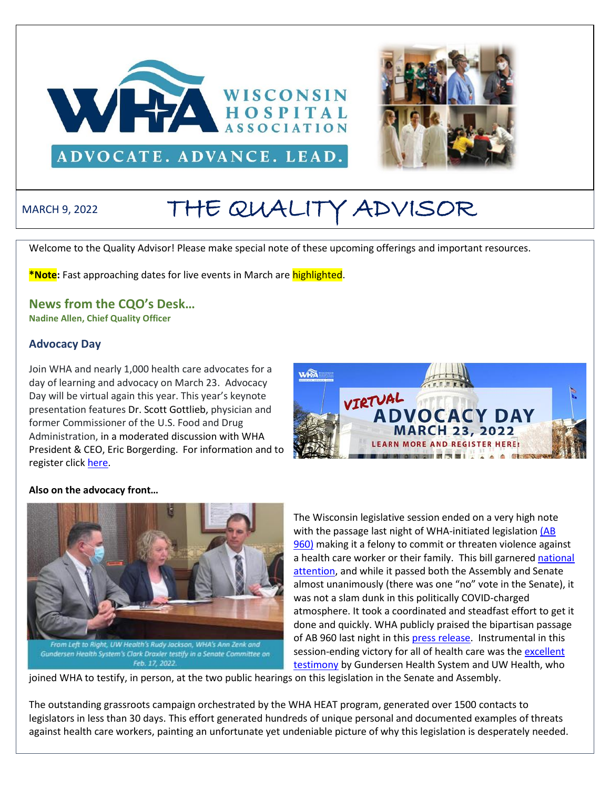



# MARCH 9, 2022 THE QUALITY ADVISOR

Welcome to the Quality Advisor! Please make special note of these upcoming offerings and important resources.

**\*Note:** Fast approaching dates for live events in March are highlighted.

# **News from the CQO's Desk…**

**Nadine Allen, Chief Quality Officer**

#### **Advocacy Day**

Join WHA and nearly 1,000 health care advocates for a day of learning and advocacy on March 23. Advocacy Day will be virtual again this year. This year's keynote presentation features Dr. Scott Gottlieb, physician and former Commissioner of the U.S. Food and Drug Administration, in a moderated discussion with WHA President & CEO, Eric Borgerding. For information and to register click [here.](https://www.wha.org/AD-2022)



#### **Also on the advocacy front…**



Gundersen Health System's Clark Draxler testify in a Senate Committee on Feb. 17, 2022.

The Wisconsin legislative session ended on a very high note with the passage last night of WHA-initiated legislation (AB [960\)](https://docs.legis.wisconsin.gov/2021/proposals/ab960) making it a felony to commit or threaten violence against a health care worker or their family. This bill garnered [national](https://www.beckershospitalreview.com/workforce/wisconsin-assembly-passes-bill-making-threatening-healthcare-workers-a-felony.html)  [attention,](https://www.beckershospitalreview.com/workforce/wisconsin-assembly-passes-bill-making-threatening-healthcare-workers-a-felony.html) and while it passed both the Assembly and Senate almost unanimously (there was one "no" vote in the Senate), it was not a slam dunk in this politically COVID-charged atmosphere. It took a coordinated and steadfast effort to get it done and quickly. WHA publicly praised the bipartisan passage of AB 960 last night in thi[s press release.](https://www.wha.org/Release-WHA-Applauds-Passage-of-AB960) Instrumental in this session-ending victory for all of health care was the excellent [testimony](https://www.wha.org/MediaRoom/WHANewsletter/2022/02-24-2022/Assembly-Passes-Legislation-Making-Threats-of-Viol) by Gundersen Health System and UW Health, who

joined WHA to testify, in person, at the two public hearings on this legislation in the Senate and Assembly.

The outstanding grassroots campaign orchestrated by the WHA HEAT program, generated over 1500 contacts to legislators in less than 30 days. This effort generated hundreds of unique personal and documented examples of threats against health care workers, painting an unfortunate yet undeniable picture of why this legislation is desperately needed.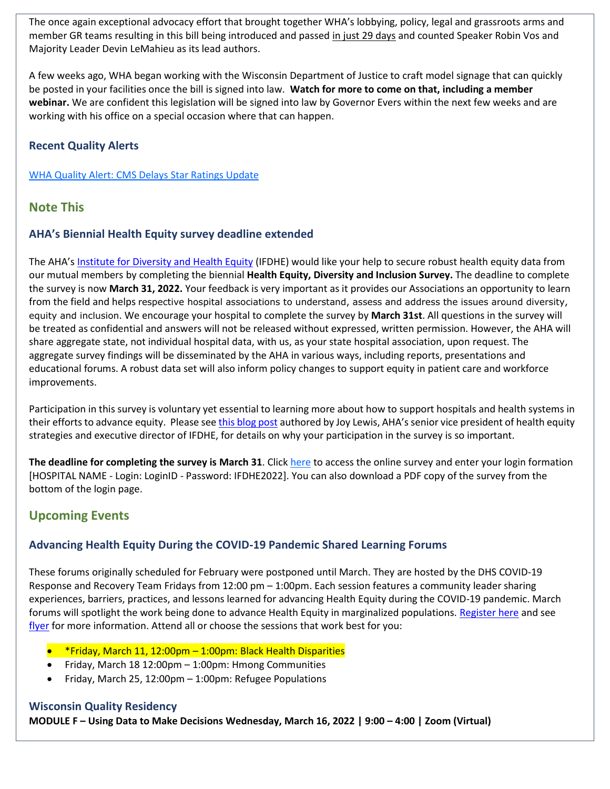The once again exceptional advocacy effort that brought together WHA's lobbying, policy, legal and grassroots arms and member GR teams resulting in this bill being introduced and passed in just 29 days and counted Speaker Robin Vos and Majority Leader Devin LeMahieu as its lead authors.

A few weeks ago, WHA began working with the Wisconsin Department of Justice to craft model signage that can quickly be posted in your facilities once the bill is signed into law. **Watch for more to come on that, including a member webinar.** We are confident this legislation will be signed into law by Governor Evers within the next few weeks and are working with his office on a special occasion where that can happen.

# **Recent Quality Alerts**

[WHA Quality Alert: CMS Delays Star Ratings Update](http://www.wha.org/Home/Common-PDFs/QA2-21-22.pdf)

# **Note This**

#### **AHA's Biennial Health Equity survey deadline extended**

The AHA's [Institute for Diversity and Health Equity](https://ifdhe.aha.org/) (IFDHE) would like your help to secure robust health equity data from our mutual members by completing the biennial **Health Equity, Diversity and Inclusion Survey.** The deadline to complete the survey is now **March 31, 2022.** Your feedback is very important as it provides our Associations an opportunity to learn from the field and helps respective hospital associations to understand, assess and address the issues around diversity, equity and inclusion. We encourage your hospital to complete the survey by **March 31st**. All questions in the survey will be treated as confidential and answers will not be released without expressed, written permission. However, the AHA will share aggregate state, not individual hospital data, with us, as your state hospital association, upon request. The aggregate survey findings will be disseminated by the AHA in various ways, including reports, presentations and educational forums. A robust data set will also inform policy changes to support equity in patient care and workforce improvements.

Participation in this survey is voluntary yet essential to learning more about how to support hospitals and health systems in their efforts to advance equity. Please se[e this blog post](https://www.aha.org/news/blog/2021-12-15-painting-picture-state-health-equity-diversity-and-inclusion-using-data) authored by Joy Lewis, AHA's senior vice president of health equity strategies and executive director of IFDHE, for details on why your participation in the survey is so important.

**The deadline for completing the survey is March 31**. Clic[k here](https://americanhospital.qualtrics.com/jfe/form/SV_eVgOiDSt5F2uRmu) to access the online survey and enter your login formation [HOSPITAL NAME - Login: LoginID - Password: IFDHE2022]. You can also download a PDF copy of the survey from the bottom of the login page.

# **Upcoming Events**

# **Advancing Health Equity During the COVID-19 Pandemic Shared Learning Forums**

These forums originally scheduled for February were postponed until March. They are hosted by the DHS COVID-19 Response and Recovery Team Fridays from 12:00 pm – 1:00pm. Each session features a community leader sharing experiences, barriers, practices, and lessons learned for advancing Health Equity during the COVID-19 pandemic. March forums will spotlight the work being done to advance Health Equity in marginalized populations. [Register here](https://dhswi.zoomgov.com/meeting/register/vJIsdO-vqjsiExVGtZXPVy_0x412qZiLJbQ) and see [flyer](http://www.wha.org/Home/Common-PDFs/March_Advancing-Health-Equity-Forum-Flyer.pdf) for more information. Attend all or choose the sessions that work best for you:

- \*Friday, March 11, 12:00pm 1:00pm: Black Health Disparities
- Friday, March 18 12:00pm 1:00pm: Hmong Communities
- Friday, March 25, 12:00pm 1:00pm: Refugee Populations

#### **Wisconsin Quality Residency**

**MODULE F – Using Data to Make Decisions Wednesday, March 16, 2022 | 9:00 – 4:00 | Zoom (Virtual)**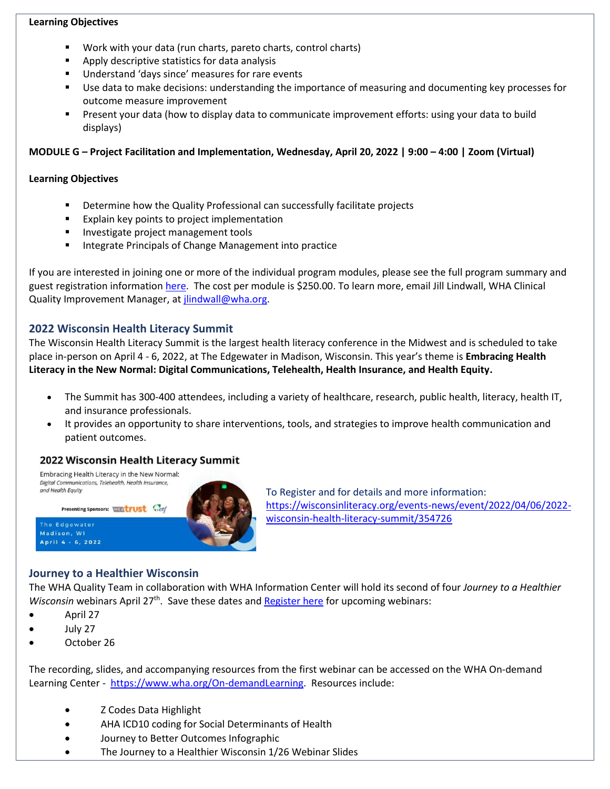#### **Learning Objectives**

- Work with your data (run charts, pareto charts, control charts)
- Apply descriptive statistics for data analysis
- Understand 'days since' measures for rare events
- Use data to make decisions: understanding the importance of measuring and documenting key processes for outcome measure improvement
- Present your data (how to display data to communicate improvement efforts: using your data to build displays)

**MODULE G – Project Facilitation and Implementation, Wednesday, April 20, 2022 | 9:00 – 4:00 | Zoom (Virtual)** 

# **Learning Objectives**

- Determine how the Quality Professional can successfully facilitate projects
- Explain key points to project implementation
- **■** Investigate project management tools
- Integrate Principals of Change Management into practice

If you are interested in joining one or more of the individual program modules, please see the full program summary and guest registration information [here.](http://www.wha.org/Home/Common-PDFs/WI-QR-ProgramGUEST-SCHEDULE-2021.pdf) The cost per module is \$250.00. To learn more, email Jill Lindwall, WHA Clinical Quality Improvement Manager, at [jlindwall@wha.org.](mailto:jlindwall@wha.org)

# **2022 Wisconsin Health Literacy Summit**

The Wisconsin Health Literacy Summit is the largest health literacy conference in the Midwest and is scheduled to take place in-person on April 4 - 6, 2022, at The Edgewater in Madison, Wisconsin. This year's theme is **Embracing Health Literacy in the New Normal: Digital Communications, Telehealth, Health Insurance, and Health Equity.**

- The Summit has 300-400 attendees, including a variety of healthcare, research, public health, literacy, health IT, and insurance professionals.
- It provides an opportunity to share interventions, tools, and strategies to improve health communication and patient outcomes.

# 2022 Wisconsin Health Literacy Summit



To Register and for details and more information: [https://wisconsinliteracy.org/events-news/event/2022/04/06/2022](https://wisconsinliteracy.org/events-news/event/2022/04/06/2022-wisconsin-health-literacy-summit/354726) [wisconsin-health-literacy-summit/354726](https://wisconsinliteracy.org/events-news/event/2022/04/06/2022-wisconsin-health-literacy-summit/354726)

# **Journey to a Healthier Wisconsin**

The WHA Quality Team in collaboration with WHA Information Center will hold its second of four *Journey to a Healthier*  Wisconsin webinars April 27<sup>th</sup>. Save these dates and **Register here** for upcoming webinars:

- April 27
- July 27
- October 26

The recording, slides, and accompanying resources from the first webinar can be accessed on the WHA On-demand Learning Center - [https://www.wha.org/On-demandLearning.](https://www.wha.org/On-demandLearning) Resources include:

- Z Codes Data Highlight
- AHA ICD10 coding for Social Determinants of Health
- Journey to Better Outcomes Infographic
- The Journey to a Healthier Wisconsin 1/26 Webinar Slides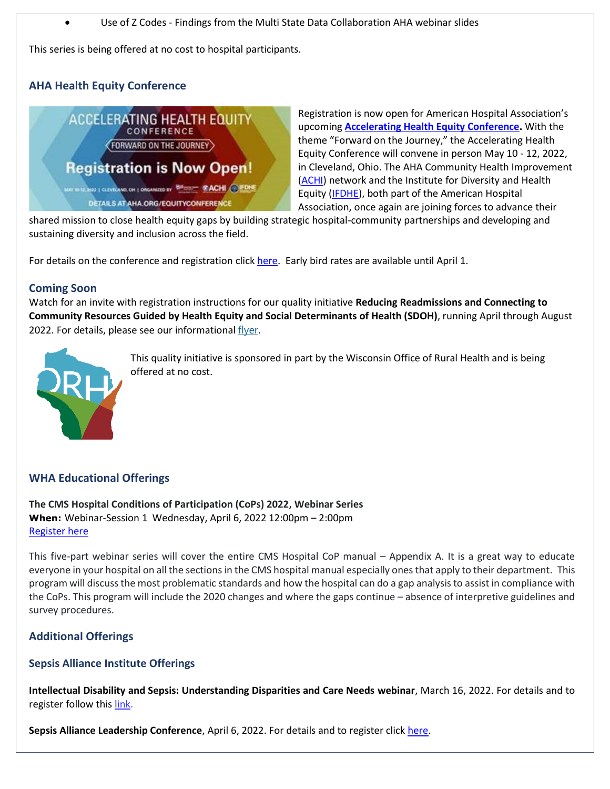• Use of Z Codes - Findings from the Multi State Data Collaboration AHA webinar slides

This series is being offered at no cost to hospital participants.

# **AHA Health Equity Conference**



Registration is now open for American Hospital Association's upcoming **[Accelerating Health Equity Conference.](https://web.cvent.com/event/efb71c93-6768-4141-b8fa-9b54477449b9/summary)** With the theme "Forward on the Journey," the Accelerating Health Equity Conference will convene in person May 10 - 12, 2022, in Cleveland, Ohio. The AHA Community Health Improvement [\(ACHI\)](https://www.healthycommunities.org/) network and the Institute for Diversity and Health Equity [\(IFDHE\)](https://ifdhe.aha.org/), both part of the American Hospital Association, once again are joining forces to advance their

shared mission to close health equity gaps by building strategic hospital-community partnerships and developing and sustaining diversity and inclusion across the field.

For details on the conference and registration click [here.](https://www.aha.org/accelerating-health-equity) Early bird rates are available until April 1.

#### **Coming Soon**

Watch for an invite with registration instructions for our quality initiative **Reducing Readmissions and Connecting to Community Resources Guided by Health Equity and Social Determinants of Health (SDOH)**, running April through August 2022. For details, please see our informational [flyer](http://www.wha.org/Home/Common-PDFs/Reducing-Readmissions-Initiative-Save-the-Date-fly.pdf).



This quality initiative is sponsored in part by the Wisconsin Office of Rural Health and is being offered at no cost.

# **WHA Educational Offerings**

**The CMS Hospital Conditions of Participation (CoPs) 2022, Webinar Series When:** Webinar-Session 1 Wednesday, April 6, 2022 12:00pm – 2:00pm [Register here](https://www.wha.org/AboutWHA/CalendarofEvents/Webinar-Online-Education/CMS-2022)

This five-part webinar series will cover the entire CMS Hospital CoP manual – Appendix A. It is a great way to educate everyone in your hospital on all the sections in the CMS hospital manual especially ones that apply to their department. This program will discuss the most problematic standards and how the hospital can do a gap analysis to assist in compliance with the CoPs. This program will include the 2020 changes and where the gaps continue – absence of interpretive guidelines and survey procedures.

# **Additional Offerings**

#### **Sepsis Alliance Institute Offerings**

**Intellectual Disability and Sepsis: Understanding Disparities and Care Needs webinar**, March 16, 2022. For details and to register follow this [link.](https://sepsis.us2.list-manage.com/track/click?u=909d224c892e0a0d4a712fdc9&id=f551d19ac3&e=b59945e98a)

**Sepsis Alliance Leadership Conference**, April 6, 2022. For details and to register click [here.](https://whova.com/portal/registration/sepsi_202204)